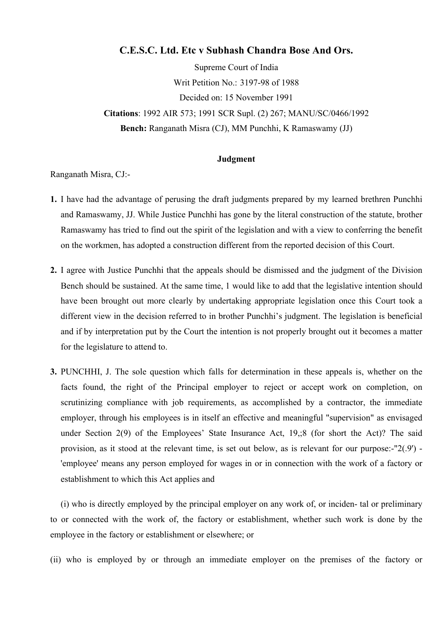**C.E.S.C. Ltd. Etc v Subhash Chandra Bose And Ors.**

Supreme Court of India Writ Petition No.: 3197-98 of 1988 Decided on: 15 November 1991 **Citations**: 1992 AIR 573; 1991 SCR Supl. (2) 267; MANU/SC/0466/1992 **Bench:** Ranganath Misra (CJ), MM Punchhi, K Ramaswamy (JJ)

## **Judgment**

Ranganath Misra, CJ:-

- **1.** I have had the advantage of perusing the draft judgments prepared by my learned brethren Punchhi and Ramaswamy, JJ. While Justice Punchhi has gone by the literal construction of the statute, brother Ramaswamy has tried to find out the spirit of the legislation and with a view to conferring the benefit on the workmen, has adopted a construction different from the reported decision of this Court.
- **2.** I agree with Justice Punchhi that the appeals should be dismissed and the judgment of the Division Bench should be sustained. At the same time, 1 would like to add that the legislative intention should have been brought out more clearly by undertaking appropriate legislation once this Court took a different view in the decision referred to in brother Punchhi's judgment. The legislation is beneficial and if by interpretation put by the Court the intention is not properly brought out it becomes a matter for the legislature to attend to.
- **3.** PUNCHHI, J. The sole question which falls for determination in these appeals is, whether on the facts found, the right of the Principal employer to reject or accept work on completion, on scrutinizing compliance with job requirements, as accomplished by a contractor, the immediate employer, through his employees is in itself an effective and meaningful "supervision" as envisaged under Section 2(9) of the Employees' State Insurance Act, 19,;8 (for short the Act)? The said provision, as it stood at the relevant time, is set out below, as is relevant for our purpose:-"2(.9') - 'employee' means any person employed for wages in or in connection with the work of a factory or establishment to which this Act applies and

(i) who is directly employed by the principal employer on any work of, or inciden- tal or preliminary to or connected with the work of, the factory or establishment, whether such work is done by the employee in the factory or establishment or elsewhere; or

(ii) who is employed by or through an immediate employer on the premises of the factory or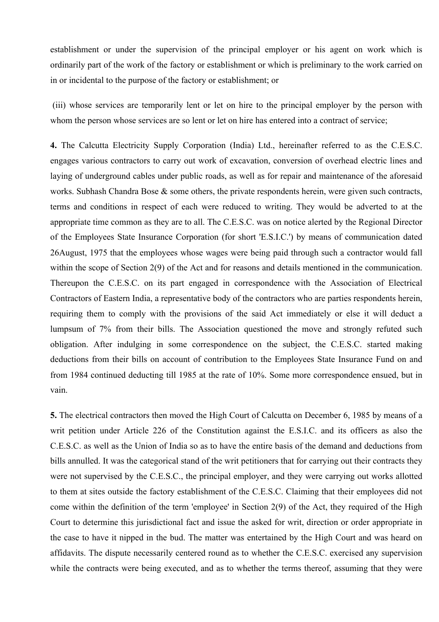establishment or under the supervision of the principal employer or his agent on work which is ordinarily part of the work of the factory or establishment or which is preliminary to the work carried on in or incidental to the purpose of the factory or establishment; or

(iii) whose services are temporarily lent or let on hire to the principal employer by the person with whom the person whose services are so lent or let on hire has entered into a contract of service;

**4.** The Calcutta Electricity Supply Corporation (India) Ltd., hereinafter referred to as the C.E.S.C. engages various contractors to carry out work of excavation, conversion of overhead electric lines and laying of underground cables under public roads, as well as for repair and maintenance of the aforesaid works. Subhash Chandra Bose & some others, the private respondents herein, were given such contracts, terms and conditions in respect of each were reduced to writing. They would be adverted to at the appropriate time common as they are to all. The C.E.S.C. was on notice alerted by the Regional Director of the Employees State Insurance Corporation (for short 'E.S.I.C.') by means of communication dated 26August, 1975 that the employees whose wages were being paid through such a contractor would fall within the scope of Section 2(9) of the Act and for reasons and details mentioned in the communication. Thereupon the C.E.S.C. on its part engaged in correspondence with the Association of Electrical Contractors of Eastern India, a representative body of the contractors who are parties respondents herein, requiring them to comply with the provisions of the said Act immediately or else it will deduct a lumpsum of 7% from their bills. The Association questioned the move and strongly refuted such obligation. After indulging in some correspondence on the subject, the C.E.S.C. started making deductions from their bills on account of contribution to the Employees State Insurance Fund on and from 1984 continued deducting till 1985 at the rate of 10%. Some more correspondence ensued, but in vain.

**5.** The electrical contractors then moved the High Court of Calcutta on December 6, 1985 by means of a writ petition under Article 226 of the Constitution against the E.S.I.C. and its officers as also the C.E.S.C. as well as the Union of India so as to have the entire basis of the demand and deductions from bills annulled. It was the categorical stand of the writ petitioners that for carrying out their contracts they were not supervised by the C.E.S.C., the principal employer, and they were carrying out works allotted to them at sites outside the factory establishment of the C.E.S.C. Claiming that their employees did not come within the definition of the term 'employee' in Section 2(9) of the Act, they required of the High Court to determine this jurisdictional fact and issue the asked for writ, direction or order appropriate in the case to have it nipped in the bud. The matter was entertained by the High Court and was heard on affidavits. The dispute necessarily centered round as to whether the C.E.S.C. exercised any supervision while the contracts were being executed, and as to whether the terms thereof, assuming that they were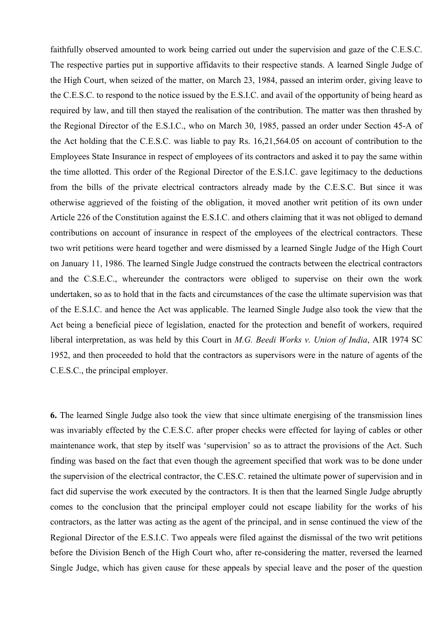faithfully observed amounted to work being carried out under the supervision and gaze of the C.E.S.C. The respective parties put in supportive affidavits to their respective stands. A learned Single Judge of the High Court, when seized of the matter, on March 23, 1984, passed an interim order, giving leave to the C.E.S.C. to respond to the notice issued by the E.S.I.C. and avail of the opportunity of being heard as required by law, and till then stayed the realisation of the contribution. The matter was then thrashed by the Regional Director of the E.S.I.C., who on March 30, 1985, passed an order under Section 45-A of the Act holding that the C.E.S.C. was liable to pay Rs. 16,21,564.05 on account of contribution to the Employees State Insurance in respect of employees of its contractors and asked it to pay the same within the time allotted. This order of the Regional Director of the E.S.I.C. gave legitimacy to the deductions from the bills of the private electrical contractors already made by the C.E.S.C. But since it was otherwise aggrieved of the foisting of the obligation, it moved another writ petition of its own under Article 226 of the Constitution against the E.S.I.C. and others claiming that it was not obliged to demand contributions on account of insurance in respect of the employees of the electrical contractors. These two writ petitions were heard together and were dismissed by a learned Single Judge of the High Court on January 11, 1986. The learned Single Judge construed the contracts between the electrical contractors and the C.S.E.C., whereunder the contractors were obliged to supervise on their own the work undertaken, so as to hold that in the facts and circumstances of the case the ultimate supervision was that of the E.S.I.C. and hence the Act was applicable. The learned Single Judge also took the view that the Act being a beneficial piece of legislation, enacted for the protection and benefit of workers, required liberal interpretation, as was held by this Court in *M.G. Beedi Works v. Union of India*, AIR 1974 SC 1952, and then proceeded to hold that the contractors as supervisors were in the nature of agents of the C.E.S.C., the principal employer.

**6.** The learned Single Judge also took the view that since ultimate energising of the transmission lines was invariably effected by the C.E.S.C. after proper checks were effected for laying of cables or other maintenance work, that step by itself was 'supervision' so as to attract the provisions of the Act. Such finding was based on the fact that even though the agreement specified that work was to be done under the supervision of the electrical contractor, the C.ES.C. retained the ultimate power of supervision and in fact did supervise the work executed by the contractors. It is then that the learned Single Judge abruptly comes to the conclusion that the principal employer could not escape liability for the works of his contractors, as the latter was acting as the agent of the principal, and in sense continued the view of the Regional Director of the E.S.I.C. Two appeals were filed against the dismissal of the two writ petitions before the Division Bench of the High Court who, after re-considering the matter, reversed the learned Single Judge, which has given cause for these appeals by special leave and the poser of the question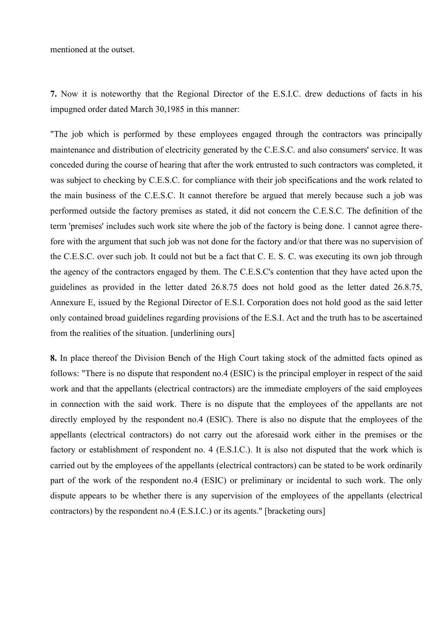mentioned at the outset.

**7.** Now it is noteworthy that the Regional Director of the E.S.I.C. drew deductions of facts in his impugned order dated March 30,1985 in this manner:

"The job which is performed by these employees engaged through the contractors was principally maintenance and distribution of electricity generated by the C.E.S.C. and also consumers' service. It was conceded during the course of hearing that after the work entrusted to such contractors was completed, it was subject to checking by C.E.S.C. for compliance with their job specifications and the work related to the main business of the C.E.S.C. It cannot therefore be argued that merely because such a job was performed outside the factory premises as stated, it did not concern the C.E.S.C. The definition of the term 'premises' includes such work site where the job of the factory is being done. 1 cannot agree therefore with the argument that such job was not done for the factory and/or that there was no supervision of the C.E.S.C. over such job. It could not but be a fact that C. E. S. C. was executing its own job through the agency of the contractors engaged by them. The C.E.S.C's contention that they have acted upon the guidelines as provided in the letter dated 26.8.75 does not hold good as the letter dated 26.8.75, Annexure E, issued by the Regional Director of E.S.I. Corporation does not hold good as the said letter only contained broad guidelines regarding provisions of the E.S.I. Act and the truth has to be ascertained from the realities of the situation. [underlining ours]

**8.** In place thereof the Division Bench of the High Court taking stock of the admitted facts opined as follows: "There is no dispute that respondent no.4 (ESIC) is the principal employer in respect of the said work and that the appellants (electrical contractors) are the immediate employers of the said employees in connection with the said work. There is no dispute that the employees of the appellants are not directly employed by the respondent no.4 (ESlC). There is also no dispute that the employees of the appellants (electrical contractors) do not carry out the aforesaid work either in the premises or the factory or establishment of respondent no. 4 (E.S.I.C.). It is also not disputed that the work which is carried out by the employees of the appellants (electrical contractors) can be stated to be work ordinarily part of the work of the respondent no.4 (ESIC) or preliminary or incidental to such work. The only dispute appears to be whether there is any supervision of the employees of the appellants (electrical contractors) by the respondent no.4 (E.S.I.C.) or its agents." [bracketing ours]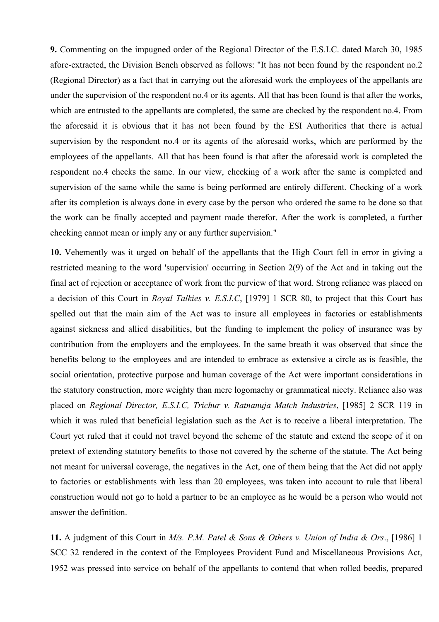**9.** Commenting on the impugned order of the Regional Director of the E.S.I.C. dated March 30, 1985 afore-extracted, the Division Bench observed as follows: "It has not been found by the respondent no.2 (Regional Director) as a fact that in carrying out the aforesaid work the employees of the appellants are under the supervision of the respondent no.4 or its agents. All that has been found is that after the works, which are entrusted to the appellants are completed, the same are checked by the respondent no.4. From the aforesaid it is obvious that it has not been found by the ESI Authorities that there is actual supervision by the respondent no.4 or its agents of the aforesaid works, which are performed by the employees of the appellants. All that has been found is that after the aforesaid work is completed the respondent no.4 checks the same. In our view, checking of a work after the same is completed and supervision of the same while the same is being performed are entirely different. Checking of a work after its completion is always done in every case by the person who ordered the same to be done so that the work can be finally accepted and payment made therefor. After the work is completed, a further checking cannot mean or imply any or any further supervision."

**10.** Vehemently was it urged on behalf of the appellants that the High Court fell in error in giving a restricted meaning to the word 'supervision' occurring in Section 2(9) of the Act and in taking out the final act of rejection or acceptance of work from the purview of that word. Strong reliance was placed on a decision of this Court in *Royal Talkies v. E.S.I.C*, [1979] 1 SCR 80, to project that this Court has spelled out that the main aim of the Act was to insure all employees in factories or establishments against sickness and allied disabilities, but the funding to implement the policy of insurance was by contribution from the employers and the employees. In the same breath it was observed that since the benefits belong to the employees and are intended to embrace as extensive a circle as is feasible, the social orientation, protective purpose and human coverage of the Act were important considerations in the statutory construction, more weighty than mere logomachy or grammatical nicety. Reliance also was placed on *Regional Director, E.S.I.C, Trichur v. Ratnanuja Match Industries*, [1985] 2 SCR 119 in which it was ruled that beneficial legislation such as the Act is to receive a liberal interpretation. The Court yet ruled that it could not travel beyond the scheme of the statute and extend the scope of it on pretext of extending statutory benefits to those not covered by the scheme of the statute. The Act being not meant for universal coverage, the negatives in the Act, one of them being that the Act did not apply to factories or establishments with less than 20 employees, was taken into account to rule that liberal construction would not go to hold a partner to be an employee as he would be a person who would not answer the definition.

**11.** A judgment of this Court in *M/s. P.M. Patel & Sons & Others v. Union of India & Ors*., [1986] 1 SCC 32 rendered in the context of the Employees Provident Fund and Miscellaneous Provisions Act, 1952 was pressed into service on behalf of the appellants to contend that when rolled beedis, prepared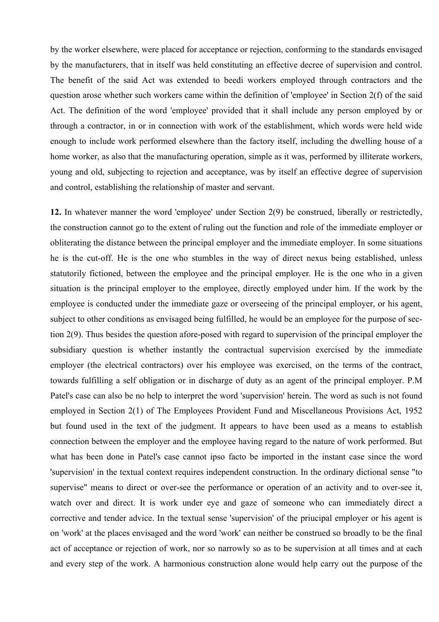by the worker elsewhere, were placed for acceptance or rejection, conforming to the standards envisaged by the manufacturers, that in itself was held constituting an effective decree of supervision and control. The benefit of the said Act was extended to beedi workers employed through contractors and the question arose whether such workers came within the definition of 'employee' in Section 2(f) of the said Act. The definition of the word 'employee' provided that it shall include any person employed by or through a contractor, in or in connection with work of the establishment, which words were held wide enough to include work performed elsewhere than the factory itself, including the dwelling house of a home worker, as also that the manufacturing operation, simple as it was, performed by illiterate workers, young and old, subjecting to rejection and acceptance, was by itself an effective degree of supervision and control, establishing the relationship of master and servant.

**12.** In whatever manner the word 'employee' under Section 2(9) be construed, liberally or restrictedly, the construction cannot go to the extent of ruling out the function and role of the immediate employer or obliterating the distance between the principal employer and the immediate employer. In some situations he is the cut-off. He is the one who stumbles in the way of direct nexus being established, unless statutorily fictioned, between the employee and the principal employer. He is the one who in a given situation is the principal employer to the employee, directly employed under him. If the work by the employee is conducted under the immediate gaze or overseeing of the principal employer, or his agent, subject to other conditions as envisaged being fulfilled, he would be an employee for the purpose of section 2(9). Thus besides the question afore-posed with regard to supervision of the principal employer the subsidiary question is whether instantly the contractual supervision exercised by the immediate employer (the electrical contractors) over his employee was exercised, on the terms of the contract, towards fulfilling a self obligation or in discharge of duty as an agent of the principal employer. P.M Patel's case can also be no help to interpret the word 'supervision' herein. The word as such is not found employed in Section 2(1) of The Employees Provident Fund and Miscellaneous Provisions Act, 1952 but found used in the text of the judgment. It appears to have been used as a means to establish connection between the employer and the employee having regard to the nature of work performed. But what has been done in Patel's case cannot ipso facto be imported in the instant case since the word 'supervision' in the textual context requires independent construction. In the ordinary dictional sense "to supervise" means to direct or over-see the performance or operation of an activity and to over-see it, watch over and direct. It is work under eye and gaze of someone who can immediately direct a corrective and tender advice. In the textual sense 'supervision' of the priucipal employer or his agent is on 'work' at the places envisaged and the word 'work' can neither be construed so broadly to be the final act of acceptance or rejection of work, nor so narrowly so as to be supervision at all times and at each and every step of the work. A harmonious construction alone would help carry out the purpose of the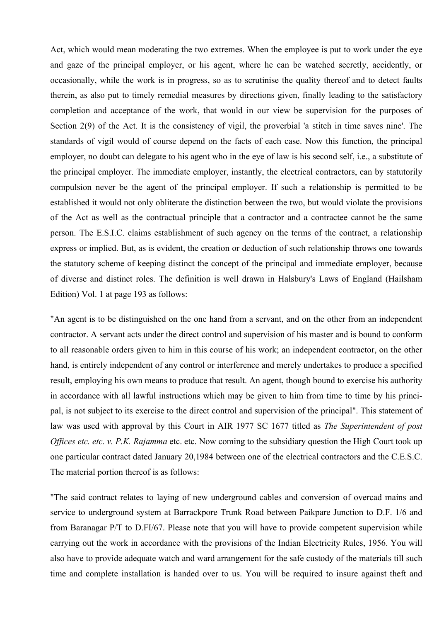Act, which would mean moderating the two extremes. When the employee is put to work under the eye and gaze of the principal employer, or his agent, where he can be watched secretly, accidently, or occasionally, while the work is in progress, so as to scrutinise the quality thereof and to detect faults therein, as also put to timely remedial measures by directions given, finally leading to the satisfactory completion and acceptance of the work, that would in our view be supervision for the purposes of Section 2(9) of the Act. It is the consistency of vigil, the proverbial 'a stitch in time saves nine'. The standards of vigil would of course depend on the facts of each case. Now this function, the principal employer, no doubt can delegate to his agent who in the eye of law is his second self, i.e., a substitute of the principal employer. The immediate employer, instantly, the electrical contractors, can by statutorily compulsion never be the agent of the principal employer. If such a relationship is permitted to be established it would not only obliterate the distinction between the two, but would violate the provisions of the Act as well as the contractual principle that a contractor and a contractee cannot be the same person. The E.S.I.C. claims establishment of such agency on the terms of the contract, a relationship express or implied. But, as is evident, the creation or deduction of such relationship throws one towards the statutory scheme of keeping distinct the concept of the principal and immediate employer, because of diverse and distinct roles. The definition is well drawn in Halsbury's Laws of England (Hailsham Edition) Vol. 1 at page 193 as follows:

"An agent is to be distinguished on the one hand from a servant, and on the other from an independent contractor. A servant acts under the direct control and supervision of his master and is bound to conform to all reasonable orders given to him in this course of his work; an independent contractor, on the other hand, is entirely independent of any control or interference and merely undertakes to produce a specified result, employing his own means to produce that result. An agent, though bound to exercise his authority in accordance with all lawful instructions which may be given to him from time to time by his principal, is not subject to its exercise to the direct control and supervision of the principal". This statement of law was used with approval by this Court in AIR 1977 SC 1677 titled as *The Superintendent of post Offices etc. etc. v. P.K. Rajamma* etc. etc. Now coming to the subsidiary question the High Court took up one particular contract dated January 20,1984 between one of the electrical contractors and the C.E.S.C. The material portion thereof is as follows:

"The said contract relates to laying of new underground cables and conversion of overcad mains and service to underground system at Barrackpore Trunk Road between Paikpare Junction to D.F. 1/6 and from Baranagar P/T to D.FI/67. Please note that you will have to provide competent supervision while carrying out the work in accordance with the provisions of the Indian Electricity Rules, 1956. You will also have to provide adequate watch and ward arrangement for the safe custody of the materials till such time and complete installation is handed over to us. You will be required to insure against theft and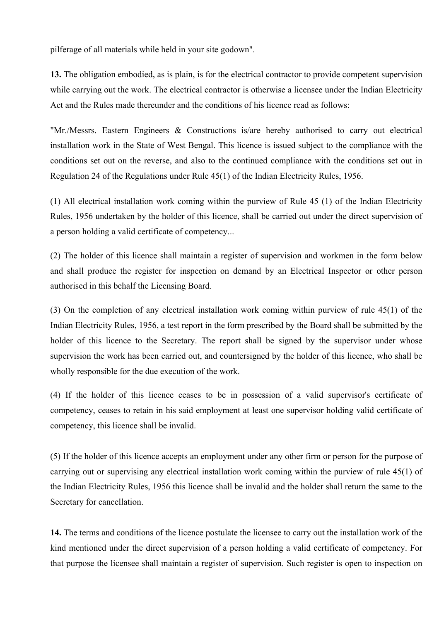pilferage of all materials while held in your site godown".

**13.** The obligation embodied, as is plain, is for the electrical contractor to provide competent supervision while carrying out the work. The electrical contractor is otherwise a licensee under the Indian Electricity Act and the Rules made thereunder and the conditions of his licence read as follows:

"Mr./Messrs. Eastern Engineers & Constructions is/are hereby authorised to carry out electrical installation work in the State of West Bengal. This licence is issued subject to the compliance with the conditions set out on the reverse, and also to the continued compliance with the conditions set out in Regulation 24 of the Regulations under Rule 45(1) of the Indian Electricity Rules, 1956.

(1) All electrical installation work coming within the purview of Rule 45 (1) of the Indian Electricity Rules, 1956 undertaken by the holder of this licence, shall be carried out under the direct supervision of a person holding a valid certificate of competency...

(2) The holder of this licence shall maintain a register of supervision and workmen in the form below and shall produce the register for inspection on demand by an Electrical Inspector or other person authorised in this behalf the Licensing Board.

(3) On the completion of any electrical installation work coming within purview of rule 45(1) of the Indian Electricity Rules, 1956, a test report in the form prescribed by the Board shall be submitted by the holder of this licence to the Secretary. The report shall be signed by the supervisor under whose supervision the work has been carried out, and countersigned by the holder of this licence, who shall be wholly responsible for the due execution of the work.

(4) If the holder of this licence ceases to be in possession of a valid supervisor's certificate of competency, ceases to retain in his said employment at least one supervisor holding valid certificate of competency, this licence shall be invalid.

(5) If the holder of this licence accepts an employment under any other firm or person for the purpose of carrying out or supervising any electrical installation work coming within the purview of rule 45(1) of the Indian Electricity Rules, 1956 this licence shall be invalid and the holder shall return the same to the Secretary for cancellation.

**14.** The terms and conditions of the licence postulate the licensee to carry out the installation work of the kind mentioned under the direct supervision of a person holding a valid certificate of competency. For that purpose the licensee shall maintain a register of supervision. Such register is open to inspection on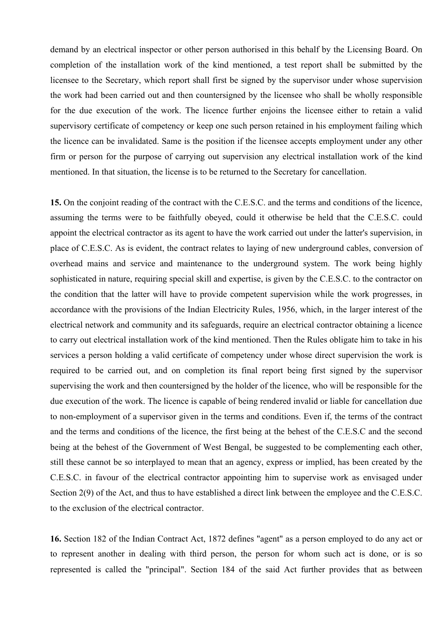demand by an electrical inspector or other person authorised in this behalf by the Licensing Board. On completion of the installation work of the kind mentioned, a test report shall be submitted by the licensee to the Secretary, which report shall first be signed by the supervisor under whose supervision the work had been carried out and then countersigned by the licensee who shall be wholly responsible for the due execution of the work. The licence further enjoins the licensee either to retain a valid supervisory certificate of competency or keep one such person retained in his employment failing which the licence can be invalidated. Same is the position if the licensee accepts employment under any other firm or person for the purpose of carrying out supervision any electrical installation work of the kind mentioned. In that situation, the license is to be returned to the Secretary for cancellation.

**15.** On the conjoint reading of the contract with the C.E.S.C. and the terms and conditions of the licence, assuming the terms were to be faithfully obeyed, could it otherwise be held that the C.E.S.C. could appoint the electrical contractor as its agent to have the work carried out under the latter's supervision, in place of C.E.S.C. As is evident, the contract relates to laying of new underground cables, conversion of overhead mains and service and maintenance to the underground system. The work being highly sophisticated in nature, requiring special skill and expertise, is given by the C.E.S.C. to the contractor on the condition that the latter will have to provide competent supervision while the work progresses, in accordance with the provisions of the Indian Electricity Rules, 1956, which, in the larger interest of the electrical network and community and its safeguards, require an electrical contractor obtaining a licence to carry out electrical installation work of the kind mentioned. Then the Rules obligate him to take in his services a person holding a valid certificate of competency under whose direct supervision the work is required to be carried out, and on completion its final report being first signed by the supervisor supervising the work and then countersigned by the holder of the licence, who will be responsible for the due execution of the work. The licence is capable of being rendered invalid or liable for cancellation due to non-employment of a supervisor given in the terms and conditions. Even if, the terms of the contract and the terms and conditions of the licence, the first being at the behest of the C.E.S.C and the second being at the behest of the Government of West Bengal, be suggested to be complementing each other, still these cannot be so interplayed to mean that an agency, express or implied, has been created by the C.E.S.C. in favour of the electrical contractor appointing him to supervise work as envisaged under Section 2(9) of the Act, and thus to have established a direct link between the employee and the C.E.S.C. to the exclusion of the electrical contractor.

**16.** Section 182 of the Indian Contract Act, 1872 defines "agent" as a person employed to do any act or to represent another in dealing with third person, the person for whom such act is done, or is so represented is called the "principal". Section 184 of the said Act further provides that as between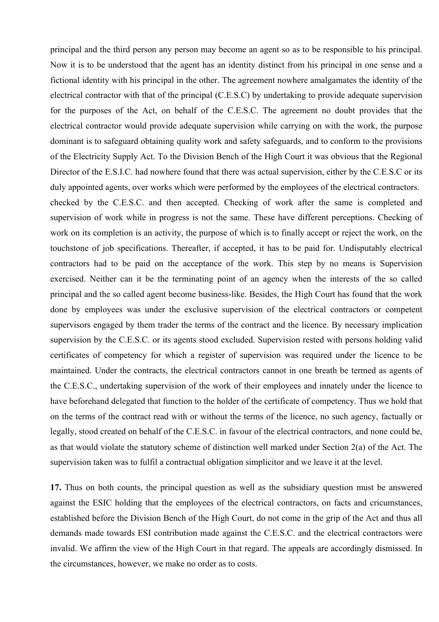principal and the third person any person may become an agent so as to be responsible to his principal. Now it is to be understood that the agent has an identity distinct from his principal in one sense and a fictional identity with his principal in the other. The agreement nowhere amalgamates the identity of the electrical contractor with that of the principal (C.E.S.C) by undertaking to provide adequate supervision for the purposes of the Act, on behalf of the C.E.S.C. The agreement no doubt provides that the electrical contractor would provide adequate supervision while carrying on with the work, the purpose dominant is to safeguard obtaining quality work and safety safeguards, and to conform to the provisions of the Electricity Supply Act. To the Division Bench of the High Court it was obvious that the Regional Director of the E.S.I.C. had nowhere found that there was actual supervision, either by the C.E.S.C or its duly appointed agents, over works which were performed by the employees of the electrical contractors. checked by the C.E.S.C. and then accepted. Checking of work after the same is completed and

supervision of work while in progress is not the same. These have different perceptions. Checking of work on its completion is an activity, the purpose of which is to finally accept or reject the work, on the touchstone of job specifications. Thereafter, if accepted, it has to be paid for. Undisputably electrical contractors had to be paid on the acceptance of the work. This step by no means is Supervision exercised. Neither can it be the terminating point of an agency when the interests of the so called principal and the so called agent become business-like. Besides, the High Court has found that the work done by employees was under the exclusive supervision of the electrical contractors or competent supervisors engaged by them trader the terms of the contract and the licence. By necessary implication supervision by the C.E.S.C. or its agents stood excluded. Supervision rested with persons holding valid certificates of competency for which a register of supervision was required under the licence to be maintained. Under the contracts, the electrical contractors cannot in one breath be termed as agents of the C.E.S.C., undertaking supervision of the work of their employees and innately under the licence to have beforehand delegated that function to the holder of the certificate of competency. Thus we hold that on the terms of the contract read with or without the terms of the licence, no such agency, factually or legally, stood created on behalf of the C.E.S.C. in favour of the electrical contractors, and none could be, as that would violate the statutory scheme of distinction well marked under Section 2(a) of the Act. The supervision taken was to fulfil a contractual obligation simplicitor and we leave it at the level.

**17.** Thus on both counts, the principal question as well as the subsidiary question must be answered against the ESIC holding that the employees of the electrical contractors, on facts and cricumstances, established before the Division Bench of the High Court, do not come in the grip of the Act and thus all demands made towards ESI contribution made against the C.E.S.C. and the electrical contractors were invalid. We affirm the view of the High Court in that regard. The appeals are accordingly dismissed. In the circumstances, however, we make no order as to costs.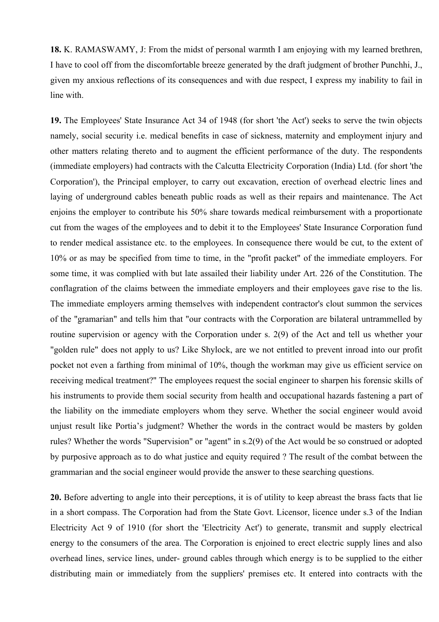**18.** K. RAMASWAMY, J: From the midst of personal warmth I am enjoying with my learned brethren, I have to cool off from the discomfortable breeze generated by the draft judgment of brother Punchhi, J., given my anxious reflections of its consequences and with due respect, I express my inability to fail in line with.

**19.** The Employees' State Insurance Act 34 of 1948 (for short 'the Act') seeks to serve the twin objects namely, social security i.e. medical benefits in case of sickness, maternity and employment injury and other matters relating thereto and to augment the efficient performance of the duty. The respondents (immediate employers) had contracts with the Calcutta Electricity Corporation (India) Ltd. (for short 'the Corporation'), the Principal employer, to carry out excavation, erection of overhead electric lines and laying of underground cables beneath public roads as well as their repairs and maintenance. The Act enjoins the employer to contribute his 50% share towards medical reimbursement with a proportionate cut from the wages of the employees and to debit it to the Employees' State Insurance Corporation fund to render medical assistance etc. to the employees. In consequence there would be cut, to the extent of 10% or as may be specified from time to time, in the "profit packet" of the immediate employers. For some time, it was complied with but late assailed their liability under Art. 226 of the Constitution. The conflagration of the claims between the immediate employers and their employees gave rise to the lis. The immediate employers arming themselves with independent contractor's clout summon the services of the "gramarian" and tells him that "our contracts with the Corporation are bilateral untrammelled by routine supervision or agency with the Corporation under s. 2(9) of the Act and tell us whether your "golden rule" does not apply to us? Like Shylock, are we not entitled to prevent inroad into our profit pocket not even a farthing from minimal of 10%, though the workman may give us efficient service on receiving medical treatment?" The employees request the social engineer to sharpen his forensic skills of his instruments to provide them social security from health and occupational hazards fastening a part of the liability on the immediate employers whom they serve. Whether the social engineer would avoid unjust result like Portia's judgment? Whether the words in the contract would be masters by golden rules? Whether the words "Supervision" or "agent" in s.2(9) of the Act would be so construed or adopted by purposive approach as to do what justice and equity required ? The result of the combat between the grammarian and the social engineer would provide the answer to these searching questions.

**20.** Before adverting to angle into their perceptions, it is of utility to keep abreast the brass facts that lie in a short compass. The Corporation had from the State Govt. Licensor, licence under s.3 of the Indian Electricity Act 9 of 1910 (for short the 'Electricity Act') to generate, transmit and supply electrical energy to the consumers of the area. The Corporation is enjoined to erect electric supply lines and also overhead lines, service lines, under- ground cables through which energy is to be supplied to the either distributing main or immediately from the suppliers' premises etc. It entered into contracts with the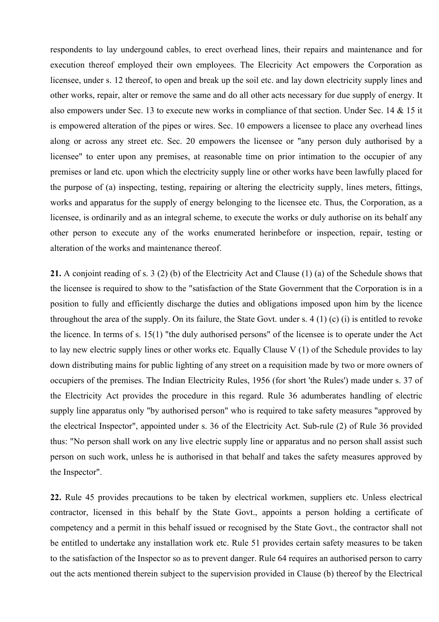respondents to lay undergound cables, to erect overhead lines, their repairs and maintenance and for execution thereof employed their own employees. The Elecricity Act empowers the Corporation as licensee, under s. 12 thereof, to open and break up the soil etc. and lay down electricity supply lines and other works, repair, alter or remove the same and do all other acts necessary for due supply of energy. It also empowers under Sec. 13 to execute new works in compliance of that section. Under Sec. 14 & 15 it is empowered alteration of the pipes or wires. Sec. 10 empowers a licensee to place any overhead lines along or across any street etc. Sec. 20 empowers the licensee or "any person duly authorised by a licensee" to enter upon any premises, at reasonable time on prior intimation to the occupier of any premises or land etc. upon which the electricity supply line or other works have been lawfully placed for the purpose of (a) inspecting, testing, repairing or altering the electricity supply, lines meters, fittings, works and apparatus for the supply of energy belonging to the licensee etc. Thus, the Corporation, as a licensee, is ordinarily and as an integral scheme, to execute the works or duly authorise on its behalf any other person to execute any of the works enumerated herinbefore or inspection, repair, testing or alteration of the works and maintenance thereof.

**21.** A conjoint reading of s. 3 (2) (b) of the Electricity Act and Clause (1) (a) of the Schedule shows that the licensee is required to show to the "satisfaction of the State Government that the Corporation is in a position to fully and efficiently discharge the duties and obligations imposed upon him by the licence throughout the area of the supply. On its failure, the State Govt. under s. 4 (1) (c) (i) is entitled to revoke the licence. In terms of s. 15(1) "the duly authorised persons" of the licensee is to operate under the Act to lay new electric supply lines or other works etc. Equally Clause V (1) of the Schedule provides to lay down distributing mains for public lighting of any street on a requisition made by two or more owners of occupiers of the premises. The Indian Electricity Rules, 1956 (for short 'the Rules') made under s. 37 of the Electricity Act provides the procedure in this regard. Rule 36 adumberates handling of electric supply line apparatus only "by authorised person" who is required to take safety measures "approved by the electrical Inspector", appointed under s. 36 of the Electricity Act. Sub-rule (2) of Rule 36 provided thus: "No person shall work on any live electric supply line or apparatus and no person shall assist such person on such work, unless he is authorised in that behalf and takes the safety measures approved by the Inspector".

**22.** Rule 45 provides precautions to be taken by electrical workmen, suppliers etc. Unless electrical contractor, licensed in this behalf by the State Govt., appoints a person holding a certificate of competency and a permit in this behalf issued or recognised by the State Govt., the contractor shall not be entitled to undertake any installation work etc. Rule 51 provides certain safety measures to be taken to the satisfaction of the Inspector so as to prevent danger. Rule 64 requires an authorised person to carry out the acts mentioned therein subject to the supervision provided in Clause (b) thereof by the Electrical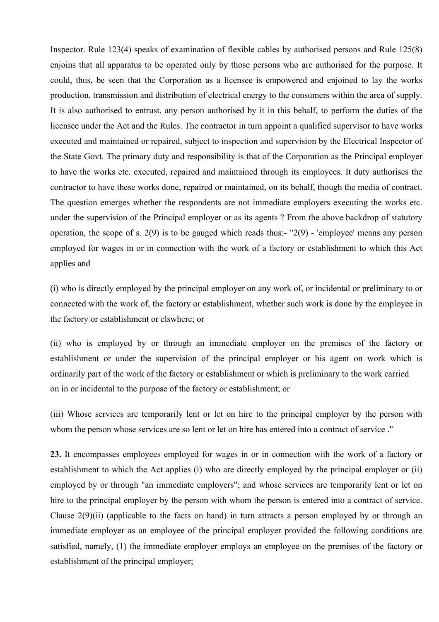Inspector. Rule 123(4) speaks of examination of flexible cables by authorised persons and Rule 125(8) enjoins that all apparatus to be operated only by those persons who are authorised for the purpose. It could, thus, be seen that the Corporation as a licensee is empowered and enjoined to lay the works production, transmission and distribution of electrical energy to the consumers within the area of supply. It is also authorised to entrust, any person authorised by it in this behalf, to perform the duties of the licensee under the Act and the Rules. The contractor in turn appoint a qualified supervisor to have works executed and maintained or repaired, subject to inspection and supervision by the Electrical Inspector of the State Govt. The primary duty and responsibility is that of the Corporation as the Principal employer to have the works etc. executed, repaired and maintained through its employees. It duty authorises the contractor to have these works done, repaired or maintained, on its behalf, though the media of contract. The question emerges whether the respondents are not immediate employers executing the works etc. under the supervision of the Principal employer or as its agents ? From the above backdrop of statutory operation, the scope of s. 2(9) is to be gauged which reads thus:- "2(9) - 'employee' means any person employed for wages in or in connection with the work of a factory or establishment to which this Act applies and

(i) who is directly employed by the principal employer on any work of, or incidental or preliminary to or connected with the work of, the factory or establishment, whether such work is done by the employee in the factory or establishment or elswhere; or

(ii) who is employed by or through an immediate employer on the premises of the factory or establishment or under the supervision of the principal employer or his agent on work which is ordinarily part of the work of the factory or establishment or which is preliminary to the work carried on in or incidental to the purpose of the factory or establishment; or

(iii) Whose services are temporarily lent or let on hire to the principal employer by the person with whom the person whose services are so lent or let on hire has entered into a contract of service ."

**23.** It encompasses employees employed for wages in or in connection with the work of a factory or establishment to which the Act applies (i) who are directly employed by the principal employer or (ii) employed by or through "an immediate employers"; and whose services are temporarily lent or let on hire to the principal employer by the person with whom the person is entered into a contract of service. Clause 2(9)(ii) (applicable to the facts on hand) in turn attracts a person employed by or through an immediate employer as an employee of the principal employer provided the following conditions are satisfied, namely, (1) the immediate employer employs an employee on the premises of the factory or establishment of the principal employer;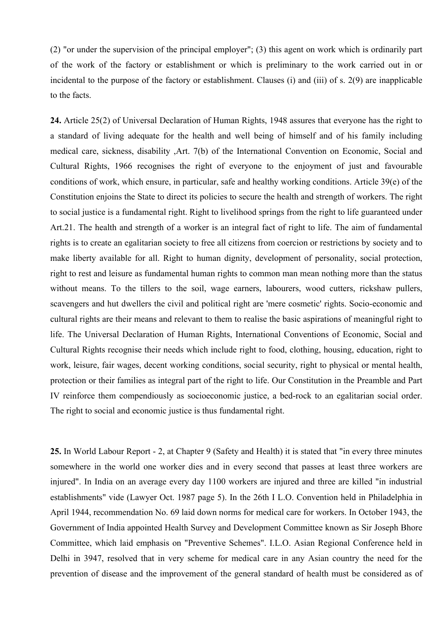(2) "or under the supervision of the principal employer"; (3) this agent on work which is ordinarily part of the work of the factory or establishment or which is preliminary to the work carried out in or incidental to the purpose of the factory or establishment. Clauses (i) and (iii) of s. 2(9) are inapplicable to the facts.

**24.** Article 25(2) of Universal Declaration of Human Rights, 1948 assures that everyone has the right to a standard of living adequate for the health and well being of himself and of his family including medical care, sickness, disability ,Art. 7(b) of the International Convention on Economic, Social and Cultural Rights, 1966 recognises the right of everyone to the enjoyment of just and favourable conditions of work, which ensure, in particular, safe and healthy working conditions. Article 39(e) of the Constitution enjoins the State to direct its policies to secure the health and strength of workers. The right to social justice is a fundamental right. Right to livelihood springs from the right to life guaranteed under Art.21. The health and strength of a worker is an integral fact of right to life. The aim of fundamental rights is to create an egalitarian society to free all citizens from coercion or restrictions by society and to make liberty available for all. Right to human dignity, development of personality, social protection, right to rest and leisure as fundamental human rights to common man mean nothing more than the status without means. To the tillers to the soil, wage earners, labourers, wood cutters, rickshaw pullers, scavengers and hut dwellers the civil and political right are 'mere cosmetic' rights. Socio-economic and cultural rights are their means and relevant to them to realise the basic aspirations of meaningful right to life. The Universal Declaration of Human Rights, International Conventions of Economic, Social and Cultural Rights recognise their needs which include right to food, clothing, housing, education, right to work, leisure, fair wages, decent working conditions, social security, right to physical or mental health, protection or their families as integral part of the right to life. Our Constitution in the Preamble and Part IV reinforce them compendiously as socioeconomic justice, a bed-rock to an egalitarian social order. The right to social and economic justice is thus fundamental right.

**25.** In World Labour Report - 2, at Chapter 9 (Safety and Health) it is stated that "in every three minutes somewhere in the world one worker dies and in every second that passes at least three workers are injured". In India on an average every day 1100 workers are injured and three are killed "in industrial establishments" vide (Lawyer Oct. 1987 page 5). In the 26th I L.O. Convention held in Philadelphia in April 1944, recommendation No. 69 laid down norms for medical care for workers. In October 1943, the Government of India appointed Health Survey and Development Committee known as Sir Joseph Bhore Committee, which laid emphasis on "Preventive Schemes". I.L.O. Asian Regional Conference held in Delhi in 3947, resolved that in very scheme for medical care in any Asian country the need for the prevention of disease and the improvement of the general standard of health must be considered as of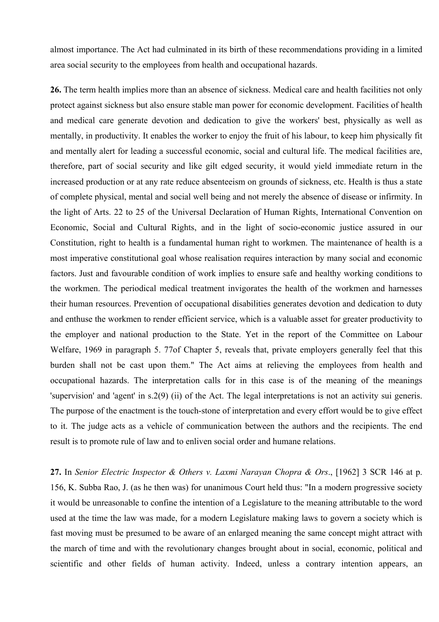almost importance. The Act had culminated in its birth of these recommendations providing in a limited area social security to the employees from health and occupational hazards.

**26.** The term health implies more than an absence of sickness. Medical care and health facilities not only protect against sickness but also ensure stable man power for economic development. Facilities of health and medical care generate devotion and dedication to give the workers' best, physically as well as mentally, in productivity. It enables the worker to enjoy the fruit of his labour, to keep him physically fit and mentally alert for leading a successful economic, social and cultural life. The medical facilities are, therefore, part of social security and like gilt edged security, it would yield immediate return in the increased production or at any rate reduce absenteeism on grounds of sickness, etc. Health is thus a state of complete physical, mental and social well being and not merely the absence of disease or infirmity. In the light of Arts. 22 to 25 of the Universal Declaration of Human Rights, International Convention on Economic, Social and Cultural Rights, and in the light of socio-economic justice assured in our Constitution, right to health is a fundamental human right to workmen. The maintenance of health is a most imperative constitutional goal whose realisation requires interaction by many social and economic factors. Just and favourable condition of work implies to ensure safe and healthy working conditions to the workmen. The periodical medical treatment invigorates the health of the workmen and harnesses their human resources. Prevention of occupational disabilities generates devotion and dedication to duty and enthuse the workmen to render efficient service, which is a valuable asset for greater productivity to the employer and national production to the State. Yet in the report of the Committee on Labour Welfare, 1969 in paragraph 5. 77of Chapter 5, reveals that, private employers generally feel that this burden shall not be cast upon them." The Act aims at relieving the employees from health and occupational hazards. The interpretation calls for in this case is of the meaning of the meanings 'supervision' and 'agent' in s.2(9) (ii) of the Act. The legal interpretations is not an activity sui generis. The purpose of the enactment is the touch-stone of interpretation and every effort would be to give effect to it. The judge acts as a vehicle of communication between the authors and the recipients. The end result is to promote rule of law and to enliven social order and humane relations.

**27.** In *Senior Electric Inspector & Others v. Laxmi Narayan Chopra & Ors*., [1962] 3 SCR 146 at p. 156, K. Subba Rao, J. (as he then was) for unanimous Court held thus: "In a modern progressive society it would be unreasonable to confine the intention of a Legislature to the meaning attributable to the word used at the time the law was made, for a modern Legislature making laws to govern a society which is fast moving must be presumed to be aware of an enlarged meaning the same concept might attract with the march of time and with the revolutionary changes brought about in social, economic, political and scientific and other fields of human activity. Indeed, unless a contrary intention appears, an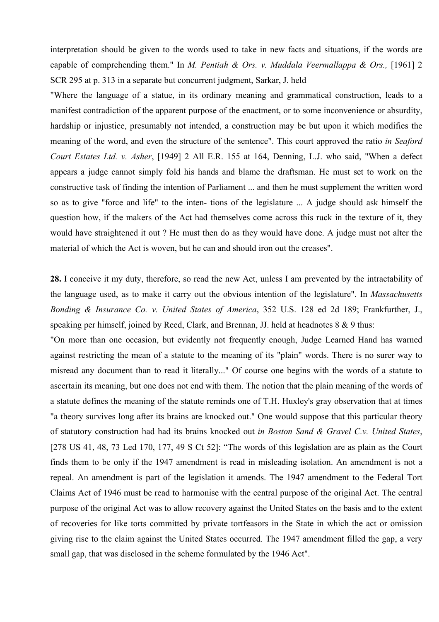interpretation should be given to the words used to take in new facts and situations, if the words are capable of comprehending them." In *M. Pentiah & Ors. v. Muddala Veermallappa & Ors.,* [1961] 2 SCR 295 at p. 313 in a separate but concurrent judgment, Sarkar, J. held

"Where the language of a statue, in its ordinary meaning and grammatical construction, leads to a manifest contradiction of the apparent purpose of the enactment, or to some inconvenience or absurdity, hardship or injustice, presumably not intended, a construction may be but upon it which modifies the meaning of the word, and even the structure of the sentence". This court approved the ratio *in Seaford Court Estates Ltd. v. Asher*, [1949] 2 All E.R. 155 at 164, Denning, L.J. who said, "When a defect appears a judge cannot simply fold his hands and blame the draftsman. He must set to work on the constructive task of finding the intention of Parliament ... and then he must supplement the written word so as to give "force and life" to the inten- tions of the legislature ... A judge should ask himself the question how, if the makers of the Act had themselves come across this ruck in the texture of it, they would have straightened it out ? He must then do as they would have done. A judge must not alter the material of which the Act is woven, but he can and should iron out the creases".

**28.** I conceive it my duty, therefore, so read the new Act, unless I am prevented by the intractability of the language used, as to make it carry out the obvious intention of the legislature". In *Massachusetts Bonding & Insurance Co. v. United States of America*, 352 U.S. 128 ed 2d 189; Frankfurther, J., speaking per himself, joined by Reed, Clark, and Brennan, JJ. held at headnotes 8 & 9 thus:

"On more than one occasion, but evidently not frequently enough, Judge Learned Hand has warned against restricting the mean of a statute to the meaning of its "plain" words. There is no surer way to misread any document than to read it literally..." Of course one begins with the words of a statute to ascertain its meaning, but one does not end with them. The notion that the plain meaning of the words of a statute defines the meaning of the statute reminds one of T.H. Huxley's gray observation that at times "a theory survives long after its brains are knocked out." One would suppose that this particular theory of statutory construction had had its brains knocked out *in Boston Sand & Gravel C.v. United States*, [278 US 41, 48, 73 Led 170, 177, 49 S Ct 52]: "The words of this legislation are as plain as the Court finds them to be only if the 1947 amendment is read in misleading isolation. An amendment is not a repeal. An amendment is part of the legislation it amends. The 1947 amendment to the Federal Tort Claims Act of 1946 must be read to harmonise with the central purpose of the original Act. The central purpose of the original Act was to allow recovery against the United States on the basis and to the extent of recoveries for like torts committed by private tortfeasors in the State in which the act or omission giving rise to the claim against the United States occurred. The 1947 amendment filled the gap, a very small gap, that was disclosed in the scheme formulated by the 1946 Act".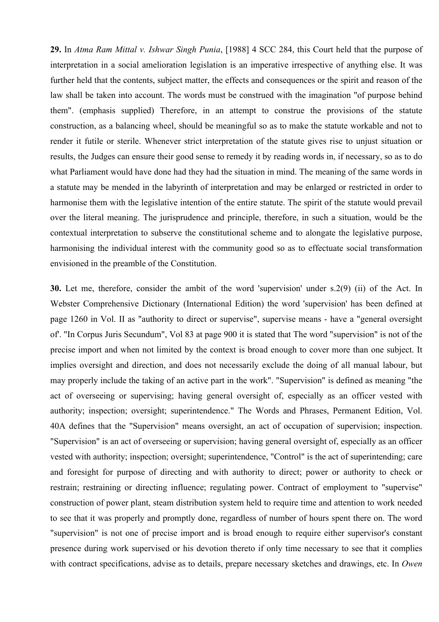**29.** In *Atma Ram Mittal v. Ishwar Singh Punia*, [1988] 4 SCC 284, this Court held that the purpose of interpretation in a social amelioration legislation is an imperative irrespective of anything else. It was further held that the contents, subject matter, the effects and consequences or the spirit and reason of the law shall be taken into account. The words must be construed with the imagination "of purpose behind them". (emphasis supplied) Therefore, in an attempt to construe the provisions of the statute construction, as a balancing wheel, should be meaningful so as to make the statute workable and not to render it futile or sterile. Whenever strict interpretation of the statute gives rise to unjust situation or results, the Judges can ensure their good sense to remedy it by reading words in, if necessary, so as to do what Parliament would have done had they had the situation in mind. The meaning of the same words in a statute may be mended in the labyrinth of interpretation and may be enlarged or restricted in order to harmonise them with the legislative intention of the entire statute. The spirit of the statute would prevail over the literal meaning. The jurisprudence and principle, therefore, in such a situation, would be the contextual interpretation to subserve the constitutional scheme and to alongate the legislative purpose, harmonising the individual interest with the community good so as to effectuate social transformation envisioned in the preamble of the Constitution.

**30.** Let me, therefore, consider the ambit of the word 'supervision' under s.2(9) (ii) of the Act. In Webster Comprehensive Dictionary (International Edition) the word 'supervision' has been defined at page 1260 in Vol. II as "authority to direct or supervise", supervise means - have a "general oversight of'. "In Corpus Juris Secundum", Vol 83 at page 900 it is stated that The word "supervision" is not of the precise import and when not limited by the context is broad enough to cover more than one subject. It implies oversight and direction, and does not necessarily exclude the doing of all manual labour, but may properly include the taking of an active part in the work". "Supervision" is defined as meaning "the act of overseeing or supervising; having general oversight of, especially as an officer vested with authority; inspection; oversight; superintendence." The Words and Phrases, Permanent Edition, Vol. 40A defines that the "Supervision" means oversight, an act of occupation of supervision; inspection. "Supervision" is an act of overseeing or supervision; having general oversight of, especially as an officer vested with authority; inspection; oversight; superintendence, "Control" is the act of superintending; care and foresight for purpose of directing and with authority to direct; power or authority to check or restrain; restraining or directing influence; regulating power. Contract of employment to "supervise" construction of power plant, steam distribution system held to require time and attention to work needed to see that it was properly and promptly done, regardless of number of hours spent there on. The word "supervision" is not one of precise import and is broad enough to require either supervisor's constant presence during work supervised or his devotion thereto if only time necessary to see that it complies with contract specifications, advise as to details, prepare necessary sketches and drawings, etc. In *Owen*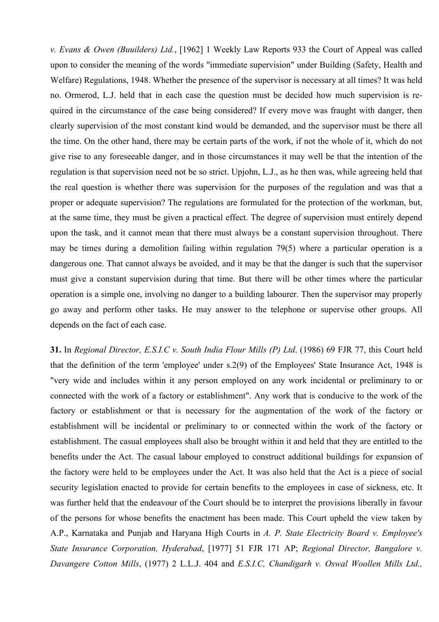*v. Evans & Owen (Buuilders) Ltd.*, [1962] 1 Weekly Law Reports 933 the Court of Appeal was called upon to consider the meaning of the words "immediate supervision" under Building (Safety, Health and Welfare) Regulations, 1948. Whether the presence of the supervisor is necessary at all times? It was held no. Ormerod, L.J. held that in each case the question must be decided how much supervision is required in the circumstance of the case being considered? If every move was fraught with danger, then clearly supervision of the most constant kind would be demanded, and the supervisor must be there all the time. On the other hand, there may be certain parts of the work, if not the whole of it, which do not give rise to any foreseeable danger, and in those circumstances it may well be that the intention of the regulation is that supervision need not be so strict. Upjohn, L.J., as he then was, while agreeing held that the real question is whether there was supervision for the purposes of the regulation and was that a proper or adequate supervision? The regulations are formulated for the protection of the workman, but, at the same time, they must be given a practical effect. The degree of supervision must entirely depend upon the task, and it cannot mean that there must always be a constant supervision throughout. There may be times during a demolition failing within regulation 79(5) where a particular operation is a dangerous one. That cannot always be avoided, and it may be that the danger is such that the supervisor must give a constant supervision during that time. But there will be other times where the particular operation is a simple one, involving no danger to a building labourer. Then the supervisor may properly go away and perform other tasks. He may answer to the telephone or supervise other groups. All depends on the fact of each case.

**31.** In *Regional Director, E.S.I.C v. South India Flour Mills (P) Ltd*. (1986) 69 FJR 77, this Court held that the definition of the term 'employee' under s.2(9) of the Employees' State Insurance Act, 1948 is "very wide and includes within it any person employed on any work incidental or preliminary to or connected with the work of a factory or establishment". Any work that is conducive to the work of the factory or establishment or that is necessary for the augmentation of the work of the factory or establishment will be incidental or preliminary to or connected within the work of the factory or establishment. The casual employees shall also be brought within it and held that they are entitled to the benefits under the Act. The casual labour employed to construct additional buildings for expansion of the factory were held to be employees under the Act. It was also held that the Act is a piece of social security legislation enacted to provide for certain benefits to the employees in case of sickness, etc. It was further held that the endeavour of the Court should be to interpret the provisions liberally in favour of the persons for whose benefits the enactment has been made. This Court upheld the view taken by A.P., Karnataka and Punjab and Haryana High Courts in *A. P. State Electricity Board v. Employee's State Insurance Corporation, Hyderabad*, [1977] 51 FJR 171 AP; *Regional Director, Bangalore v. Davangere Cotton Mills*, (1977) 2 L.L.J. 404 and *E.S.I.C, Chandigarh v. Oswal Woollen Mills Ltd.,*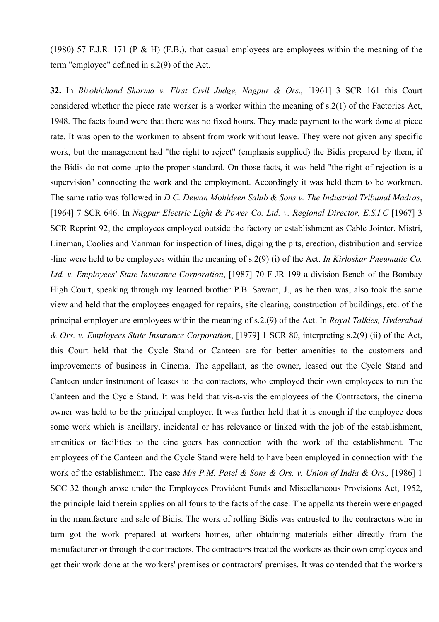(1980) 57 F.J.R. 171 (P & H) (F.B.). that casual employees are employees within the meaning of the term "employee" defined in s.2(9) of the Act.

**32.** In *Birohichand Sharma v. First Civil Judge, Nagpur & Ors.,* [1961] 3 SCR 161 this Court considered whether the piece rate worker is a worker within the meaning of s.2(1) of the Factories Act, 1948. The facts found were that there was no fixed hours. They made payment to the work done at piece rate. It was open to the workmen to absent from work without leave. They were not given any specific work, but the management had "the right to reject" (emphasis supplied) the Bidis prepared by them, if the Bidis do not come upto the proper standard. On those facts, it was held "the right of rejection is a supervision" connecting the work and the employment. Accordingly it was held them to be workmen. The same ratio was followed in *D.C. Dewan Mohideen Sahib & Sons v. The Industrial Tribunal Madras*, [1964] 7 SCR 646. In *Nagpur Electric Light & Power Co. Ltd. v. Regional Director, E.S.I.C* [1967] 3 SCR Reprint 92, the employees employed outside the factory or establishment as Cable Jointer. Mistri, Lineman, Coolies and Vanman for inspection of lines, digging the pits, erection, distribution and service -line were held to be employees within the meaning of s.2(9) (i) of the Act. *In Kirloskar Pneumatic Co. Ltd. v. Employees' State Insurance Corporation*, [1987] 70 F JR 199 a division Bench of the Bombay High Court, speaking through my learned brother P.B. Sawant, J., as he then was, also took the same view and held that the employees engaged for repairs, site clearing, construction of buildings, etc. of the principal employer are employees within the meaning of s.2.(9) of the Act. In *Royal Talkies, Hvderabad & Ors. v. Employees State Insurance Corporation*, [1979] 1 SCR 80, interpreting s.2(9) (ii) of the Act, this Court held that the Cycle Stand or Canteen are for better amenities to the customers and improvements of business in Cinema. The appellant, as the owner, leased out the Cycle Stand and Canteen under instrument of leases to the contractors, who employed their own employees to run the Canteen and the Cycle Stand. It was held that vis-a-vis the employees of the Contractors, the cinema owner was held to be the principal employer. It was further held that it is enough if the employee does some work which is ancillary, incidental or has relevance or linked with the job of the establishment, amenities or facilities to the cine goers has connection with the work of the establishment. The employees of the Canteen and the Cycle Stand were held to have been employed in connection with the work of the establishment. The case *M/s P.M. Patel & Sons & Ors. v. Union of India & Ors.,* [1986] 1 SCC 32 though arose under the Employees Provident Funds and Miscellaneous Provisions Act, 1952, the principle laid therein applies on all fours to the facts of the case. The appellants therein were engaged in the manufacture and sale of Bidis. The work of rolling Bidis was entrusted to the contractors who in turn got the work prepared at workers homes, after obtaining materials either directly from the manufacturer or through the contractors. The contractors treated the workers as their own employees and get their work done at the workers' premises or contractors' premises. It was contended that the workers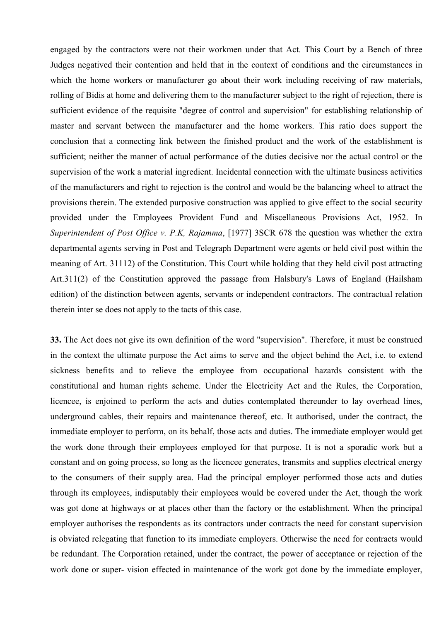engaged by the contractors were not their workmen under that Act. This Court by a Bench of three Judges negatived their contention and held that in the context of conditions and the circumstances in which the home workers or manufacturer go about their work including receiving of raw materials, rolling of Bidis at home and delivering them to the manufacturer subject to the right of rejection, there is sufficient evidence of the requisite "degree of control and supervision" for establishing relationship of master and servant between the manufacturer and the home workers. This ratio does support the conclusion that a connecting link between the finished product and the work of the establishment is sufficient; neither the manner of actual performance of the duties decisive nor the actual control or the supervision of the work a material ingredient. Incidental connection with the ultimate business activities of the manufacturers and right to rejection is the control and would be the balancing wheel to attract the provisions therein. The extended purposive construction was applied to give effect to the social security provided under the Employees Provident Fund and Miscellaneous Provisions Act, 1952. In *Superintendent of Post Office v. P.K, Rajamma*, [1977] 3SCR 678 the question was whether the extra departmental agents serving in Post and Telegraph Department were agents or held civil post within the meaning of Art. 31112) of the Constitution. This Court while holding that they held civil post attracting Art.311(2) of the Constitution approved the passage from Halsbury's Laws of England (Hailsham edition) of the distinction between agents, servants or independent contractors. The contractual relation therein inter se does not apply to the tacts of this case.

**33.** The Act does not give its own definition of the word "supervision". Therefore, it must be construed in the context the ultimate purpose the Act aims to serve and the object behind the Act, i.e. to extend sickness benefits and to relieve the employee from occupational hazards consistent with the constitutional and human rights scheme. Under the Electricity Act and the Rules, the Corporation, licencee, is enjoined to perform the acts and duties contemplated thereunder to lay overhead lines, underground cables, their repairs and maintenance thereof, etc. It authorised, under the contract, the immediate employer to perform, on its behalf, those acts and duties. The immediate employer would get the work done through their employees employed for that purpose. It is not a sporadic work but a constant and on going process, so long as the licencee generates, transmits and supplies electrical energy to the consumers of their supply area. Had the principal employer performed those acts and duties through its employees, indisputably their employees would be covered under the Act, though the work was got done at highways or at places other than the factory or the establishment. When the principal employer authorises the respondents as its contractors under contracts the need for constant supervision is obviated relegating that function to its immediate employers. Otherwise the need for contracts would be redundant. The Corporation retained, under the contract, the power of acceptance or rejection of the work done or super- vision effected in maintenance of the work got done by the immediate employer,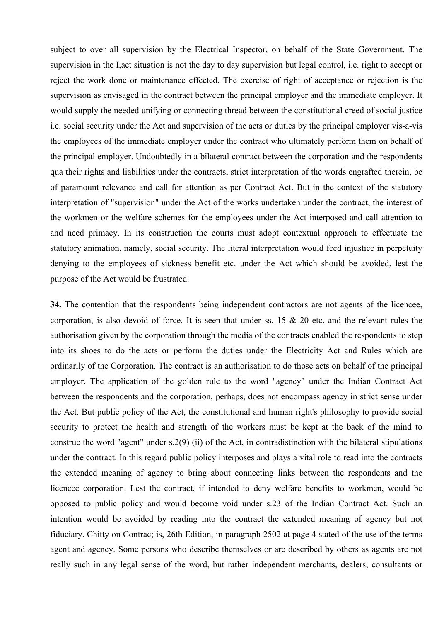subject to over all supervision by the Electrical Inspector, on behalf of the State Government. The supervision in the I,act situation is not the day to day supervision but legal control, i.e. right to accept or reject the work done or maintenance effected. The exercise of right of acceptance or rejection is the supervision as envisaged in the contract between the principal employer and the immediate employer. It would supply the needed unifying or connecting thread between the constitutional creed of social justice i.e. social security under the Act and supervision of the acts or duties by the principal employer vis-a-vis the employees of the immediate employer under the contract who ultimately perform them on behalf of the principal employer. Undoubtedly in a bilateral contract between the corporation and the respondents qua their rights and liabilities under the contracts, strict interpretation of the words engrafted therein, be of paramount relevance and call for attention as per Contract Act. But in the context of the statutory interpretation of "supervision" under the Act of the works undertaken under the contract, the interest of the workmen or the welfare schemes for the employees under the Act interposed and call attention to and need primacy. In its construction the courts must adopt contextual approach to effectuate the statutory animation, namely, social security. The literal interpretation would feed injustice in perpetuity denying to the employees of sickness benefit etc. under the Act which should be avoided, lest the purpose of the Act would be frustrated.

**34.** The contention that the respondents being independent contractors are not agents of the licencee, corporation, is also devoid of force. It is seen that under ss. 15  $\&$  20 etc. and the relevant rules the authorisation given by the corporation through the media of the contracts enabled the respondents to step into its shoes to do the acts or perform the duties under the Electricity Act and Rules which are ordinarily of the Corporation. The contract is an authorisation to do those acts on behalf of the principal employer. The application of the golden rule to the word "agency" under the Indian Contract Act between the respondents and the corporation, perhaps, does not encompass agency in strict sense under the Act. But public policy of the Act, the constitutional and human right's philosophy to provide social security to protect the health and strength of the workers must be kept at the back of the mind to construe the word "agent" under s.2(9) (ii) of the Act, in contradistinction with the bilateral stipulations under the contract. In this regard public policy interposes and plays a vital role to read into the contracts the extended meaning of agency to bring about connecting links between the respondents and the licencee corporation. Lest the contract, if intended to deny welfare benefits to workmen, would be opposed to public policy and would become void under s.23 of the Indian Contract Act. Such an intention would be avoided by reading into the contract the extended meaning of agency but not fiduciary. Chitty on Contrac; is, 26th Edition, in paragraph 2502 at page 4 stated of the use of the terms agent and agency. Some persons who describe themselves or are described by others as agents are not really such in any legal sense of the word, but rather independent merchants, dealers, consultants or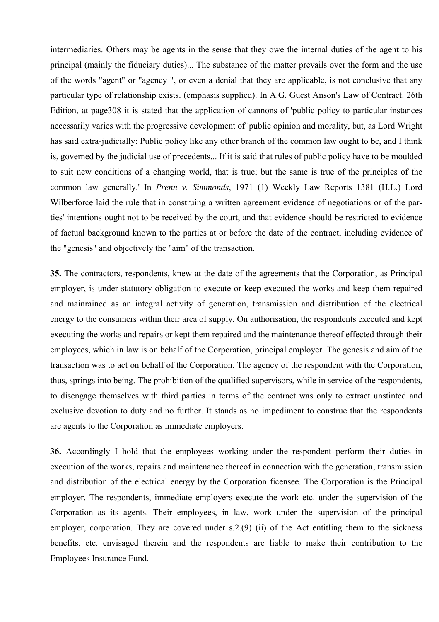intermediaries. Others may be agents in the sense that they owe the internal duties of the agent to his principal (mainly the fiduciary duties)... The substance of the matter prevails over the form and the use of the words "agent" or "agency ", or even a denial that they are applicable, is not conclusive that any particular type of relationship exists. (emphasis supplied). In A.G. Guest Anson's Law of Contract. 26th Edition, at page308 it is stated that the application of cannons of 'public policy to particular instances necessarily varies with the progressive development of 'public opinion and morality, but, as Lord Wright has said extra-judicially: Public policy like any other branch of the common law ought to be, and I think is, governed by the judicial use of precedents... If it is said that rules of public policy have to be moulded to suit new conditions of a changing world, that is true; but the same is true of the principles of the common law generally.' In *Prenn v. Simmonds*, 1971 (1) Weekly Law Reports 1381 (H.L.) Lord Wilberforce laid the rule that in construing a written agreement evidence of negotiations or of the parties' intentions ought not to be received by the court, and that evidence should be restricted to evidence of factual background known to the parties at or before the date of the contract, including evidence of the "genesis" and objectively the "aim" of the transaction.

**35.** The contractors, respondents, knew at the date of the agreements that the Corporation, as Principal employer, is under statutory obligation to execute or keep executed the works and keep them repaired and mainrained as an integral activity of generation, transmission and distribution of the electrical energy to the consumers within their area of supply. On authorisation, the respondents executed and kept executing the works and repairs or kept them repaired and the maintenance thereof effected through their employees, which in law is on behalf of the Corporation, principal employer. The genesis and aim of the transaction was to act on behalf of the Corporation. The agency of the respondent with the Corporation, thus, springs into being. The prohibition of the qualified supervisors, while in service of the respondents, to disengage themselves with third parties in terms of the contract was only to extract unstinted and exclusive devotion to duty and no further. It stands as no impediment to construe that the respondents are agents to the Corporation as immediate employers.

**36.** Accordingly I hold that the employees working under the respondent perform their duties in execution of the works, repairs and maintenance thereof in connection with the generation, transmission and distribution of the electrical energy by the Corporation ficensee. The Corporation is the Principal employer. The respondents, immediate employers execute the work etc. under the supervision of the Corporation as its agents. Their employees, in law, work under the supervision of the principal employer, corporation. They are covered under s.2.(9) (ii) of the Act entitling them to the sickness benefits, etc. envisaged therein and the respondents are liable to make their contribution to the Employees Insurance Fund.